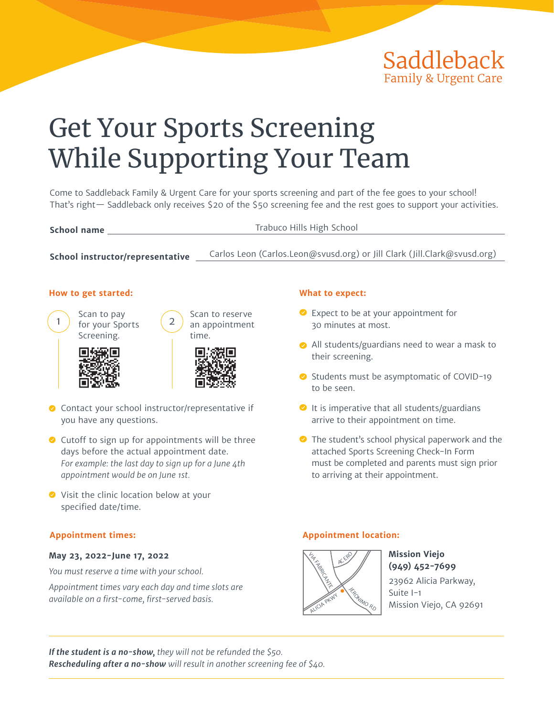

# Get Your Sports Screening While Supporting Your Team

Come to Saddleback Family & Urgent Care for your sports screening and part of the fee goes to your school! That's right— Saddleback only receives \$20 of the \$50 screening fee and the rest goes to support your activities.

| School name                      | Trabuco Hills High School                                                |
|----------------------------------|--------------------------------------------------------------------------|
|                                  |                                                                          |
| School instructor/representative | Carlos Leon (Carlos.Leon@svusd.org) or Jill Clark (Jill.Clark@svusd.org) |

#### **How to get started:**



Scan to pay 1 ) for your Sports  $(2)$ Screening.





Scan to reserve



- ◆ Contact your school instructor/representative if you have any questions.
- Cutoff to sign up for appointments will be three days before the actual appointment date. *For example: the last day to sign up for a June 4th appointment would be on June 1st.*
- ◆ Visit the clinic location below at your specified date/time.

#### **May 23, 2022-June 17, 2022**

*You must reserve a time with your school.*

*Appointment times vary each day and time slots are available on a first-come, first-served basis.*

#### **What to expect:**

- Expect to be at your appointment for 30 minutes at most.
- All students/guardians need to wear a mask to their screening.
- $\bullet$  Students must be asymptomatic of COVID-19 to be seen.
- $\bullet$  It is imperative that all students/guardians arrive to their appointment on time.
- ◆ The student's school physical paperwork and the attached Sports Screening Check-In Form must be completed and parents must sign prior to arriving at their appointment.

#### **Appointment times: Appointment location:**



**Mission Viejo (949) 452-7699** 23962 Alicia Parkway, Suite I-1 Mission Viejo, CA 92691

*If the student is a no-show, they will not be refunded the \$50. Rescheduling after a no-show will result in another screening fee of \$40.*